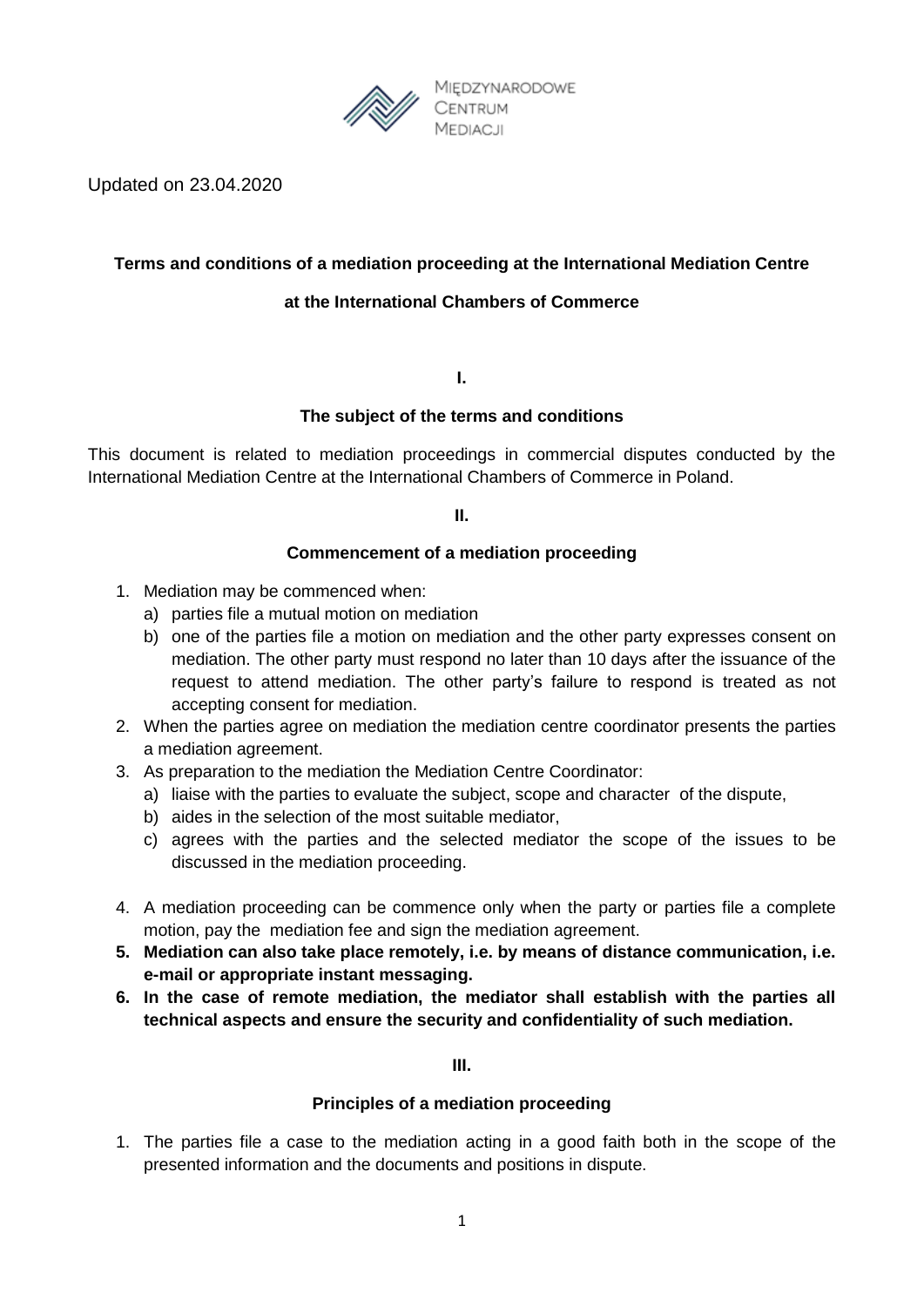

Updated on 23.04.2020

# **Terms and conditions of a mediation proceeding at the International Mediation Centre**

# **at the International Chambers of Commerce**

**I.**

### **The subject of the terms and conditions**

This document is related to mediation proceedings in commercial disputes conducted by the International Mediation Centre at the International Chambers of Commerce in Poland.

**II.**

### **Commencement of a mediation proceeding**

- 1. Mediation may be commenced when:
	- a) parties file a mutual motion on mediation
	- b) one of the parties file a motion on mediation and the other party expresses consent on mediation. The other party must respond no later than 10 days after the issuance of the request to attend mediation. The other party's failure to respond is treated as not accepting consent for mediation.
- 2. When the parties agree on mediation the mediation centre coordinator presents the parties a mediation agreement.
- 3. As preparation to the mediation the Mediation Centre Coordinator:
	- a) liaise with the parties to evaluate the subject, scope and character of the dispute,
	- b) aides in the selection of the most suitable mediator,
	- c) agrees with the parties and the selected mediator the scope of the issues to be discussed in the mediation proceeding.
- 4. A mediation proceeding can be commence only when the party or parties file a complete motion, pay the mediation fee and sign the mediation agreement.
- **5. Mediation can also take place remotely, i.e. by means of distance communication, i.e. e-mail or appropriate instant messaging.**
- **6. In the case of remote mediation, the mediator shall establish with the parties all technical aspects and ensure the security and confidentiality of such mediation.**

**III.**

### **Principles of a mediation proceeding**

1. The parties file a case to the mediation acting in a good faith both in the scope of the presented information and the documents and positions in dispute.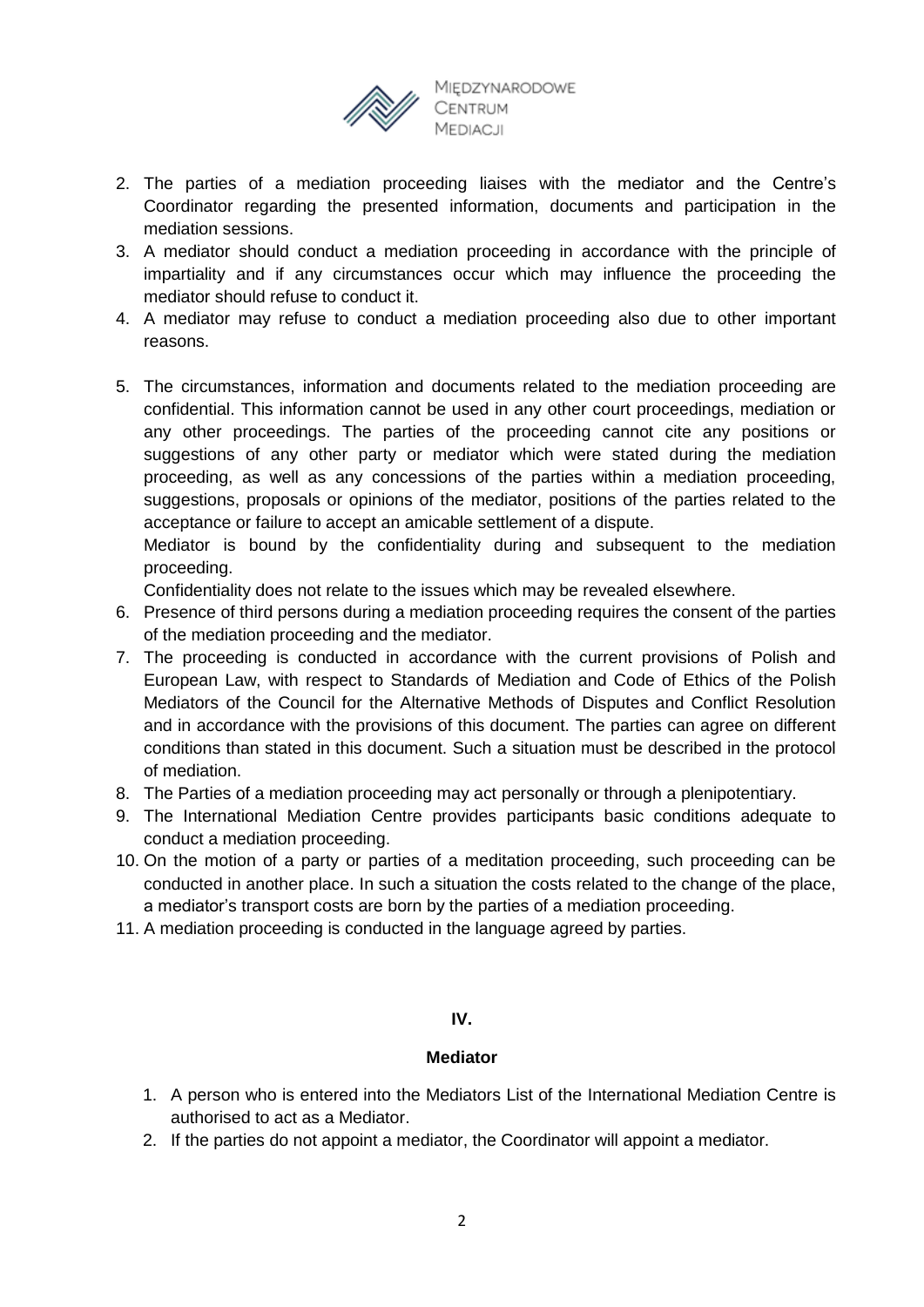

- 2. The parties of a mediation proceeding liaises with the mediator and the Centre's Coordinator regarding the presented information, documents and participation in the mediation sessions.
- 3. A mediator should conduct a mediation proceeding in accordance with the principle of impartiality and if any circumstances occur which may influence the proceeding the mediator should refuse to conduct it.
- 4. A mediator may refuse to conduct a mediation proceeding also due to other important reasons.
- 5. The circumstances, information and documents related to the mediation proceeding are confidential. This information cannot be used in any other court proceedings, mediation or any other proceedings. The parties of the proceeding cannot cite any positions or suggestions of any other party or mediator which were stated during the mediation proceeding, as well as any concessions of the parties within a mediation proceeding, suggestions, proposals or opinions of the mediator, positions of the parties related to the acceptance or failure to accept an amicable settlement of a dispute.

Mediator is bound by the confidentiality during and subsequent to the mediation proceeding.

Confidentiality does not relate to the issues which may be revealed elsewhere.

- 6. Presence of third persons during a mediation proceeding requires the consent of the parties of the mediation proceeding and the mediator.
- 7. The proceeding is conducted in accordance with the current provisions of Polish and European Law, with respect to Standards of Mediation and Code of Ethics of the Polish Mediators of the Council for the Alternative Methods of Disputes and Conflict Resolution and in accordance with the provisions of this document. The parties can agree on different conditions than stated in this document. Such a situation must be described in the protocol of mediation.
- 8. The Parties of a mediation proceeding may act personally or through a plenipotentiary.
- 9. The International Mediation Centre provides participants basic conditions adequate to conduct a mediation proceeding.
- 10. On the motion of a party or parties of a meditation proceeding, such proceeding can be conducted in another place. In such a situation the costs related to the change of the place, a mediator's transport costs are born by the parties of a mediation proceeding.
- 11. A mediation proceeding is conducted in the language agreed by parties.

# **IV.**

### **Mediator**

- 1. A person who is entered into the Mediators List of the International Mediation Centre is authorised to act as a Mediator.
- 2. If the parties do not appoint a mediator, the Coordinator will appoint a mediator.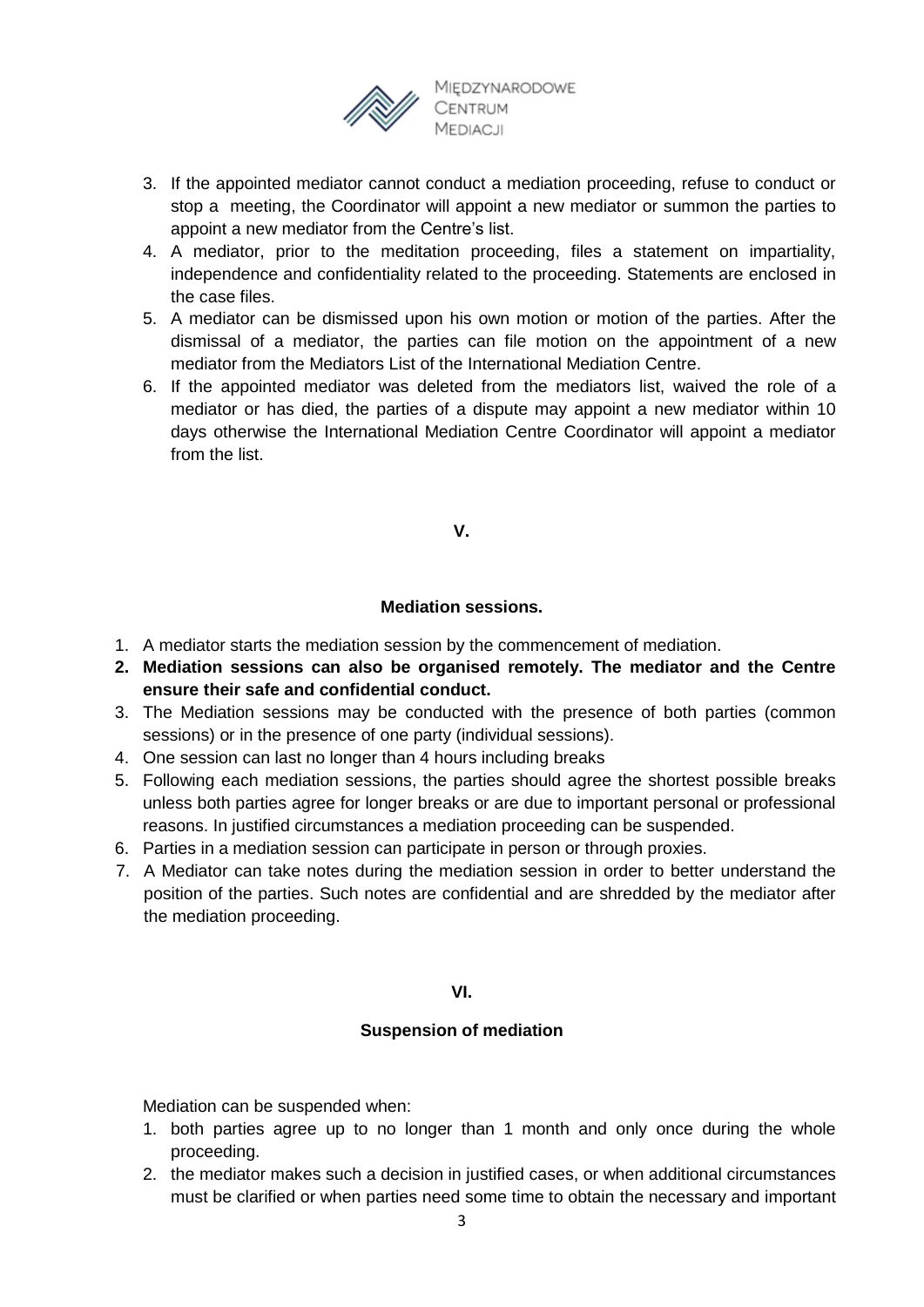

- 3. If the appointed mediator cannot conduct a mediation proceeding, refuse to conduct or stop a meeting, the Coordinator will appoint a new mediator or summon the parties to appoint a new mediator from the Centre's list.
- 4. A mediator, prior to the meditation proceeding, files a statement on impartiality, independence and confidentiality related to the proceeding. Statements are enclosed in the case files.
- 5. A mediator can be dismissed upon his own motion or motion of the parties. After the dismissal of a mediator, the parties can file motion on the appointment of a new mediator from the Mediators List of the International Mediation Centre.
- 6. If the appointed mediator was deleted from the mediators list, waived the role of a mediator or has died, the parties of a dispute may appoint a new mediator within 10 days otherwise the International Mediation Centre Coordinator will appoint a mediator from the list.

## **V.**

## **Mediation sessions.**

- 1. A mediator starts the mediation session by the commencement of mediation.
- **2. Mediation sessions can also be organised remotely. The mediator and the Centre ensure their safe and confidential conduct.**
- 3. The Mediation sessions may be conducted with the presence of both parties (common sessions) or in the presence of one party (individual sessions).
- 4. One session can last no longer than 4 hours including breaks
- 5. Following each mediation sessions, the parties should agree the shortest possible breaks unless both parties agree for longer breaks or are due to important personal or professional reasons. In justified circumstances a mediation proceeding can be suspended.
- 6. Parties in a mediation session can participate in person or through proxies.
- 7. A Mediator can take notes during the mediation session in order to better understand the position of the parties. Such notes are confidential and are shredded by the mediator after the mediation proceeding.

### **VI.**

### **Suspension of mediation**

Mediation can be suspended when:

- 1. both parties agree up to no longer than 1 month and only once during the whole proceeding.
- 2. the mediator makes such a decision in justified cases, or when additional circumstances must be clarified or when parties need some time to obtain the necessary and important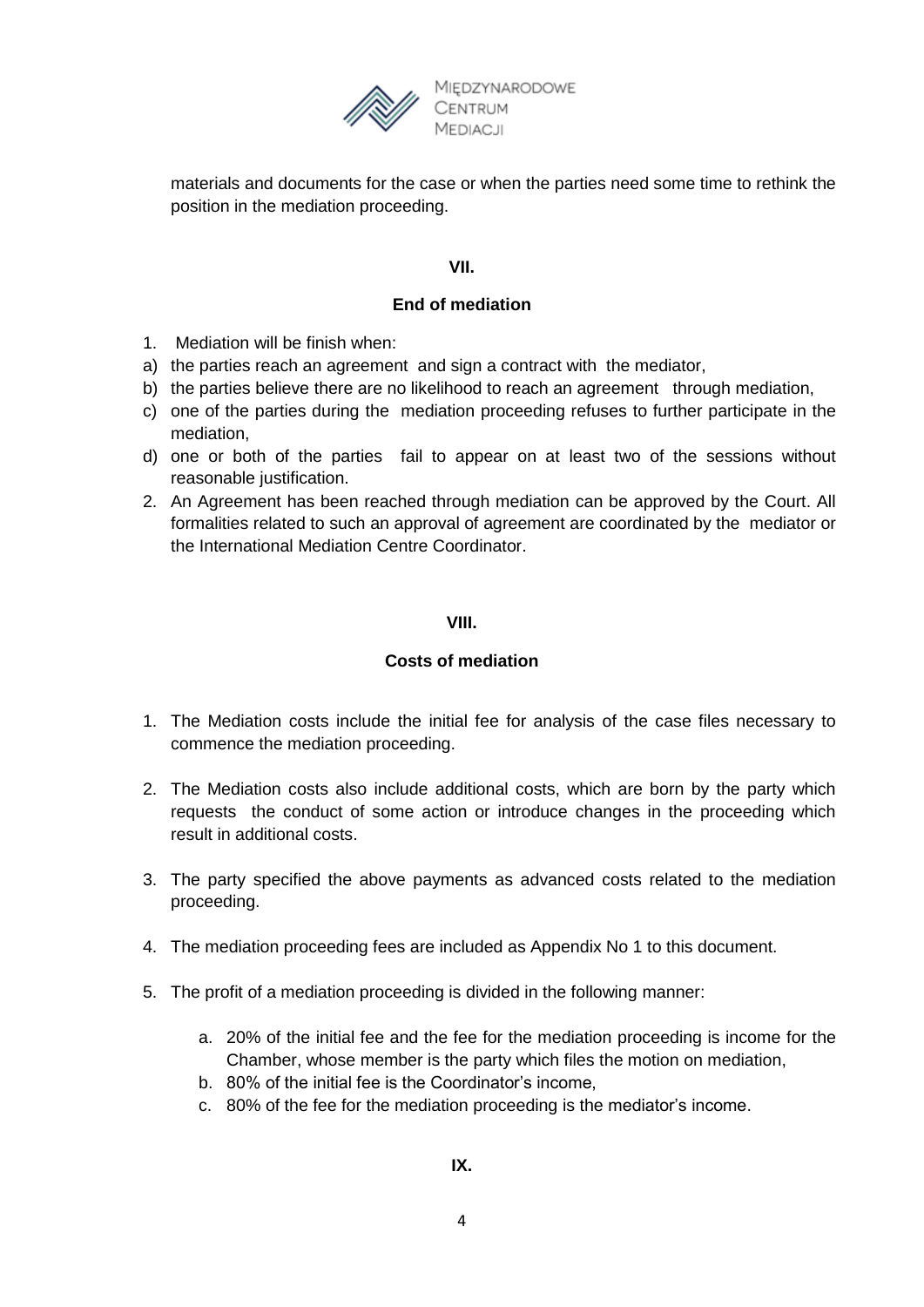

materials and documents for the case or when the parties need some time to rethink the position in the mediation proceeding.

# **VII.**

# **End of mediation**

- 1. Mediation will be finish when:
- a) the parties reach an agreement and sign a contract with the mediator,
- b) the parties believe there are no likelihood to reach an agreement through mediation,
- c) one of the parties during the mediation proceeding refuses to further participate in the mediation,
- d) one or both of the parties fail to appear on at least two of the sessions without reasonable justification.
- 2. An Agreement has been reached through mediation can be approved by the Court. All formalities related to such an approval of agreement are coordinated by the mediator or the International Mediation Centre Coordinator.

## **VIII.**

### **Costs of mediation**

- 1. The Mediation costs include the initial fee for analysis of the case files necessary to commence the mediation proceeding.
- 2. The Mediation costs also include additional costs, which are born by the party which requests the conduct of some action or introduce changes in the proceeding which result in additional costs.
- 3. The party specified the above payments as advanced costs related to the mediation proceeding.
- 4. The mediation proceeding fees are included as Appendix No 1 to this document.
- 5. The profit of a mediation proceeding is divided in the following manner:
	- a. 20% of the initial fee and the fee for the mediation proceeding is income for the Chamber, whose member is the party which files the motion on mediation,
	- b. 80% of the initial fee is the Coordinator's income,
	- c. 80% of the fee for the mediation proceeding is the mediator's income.

**IX.**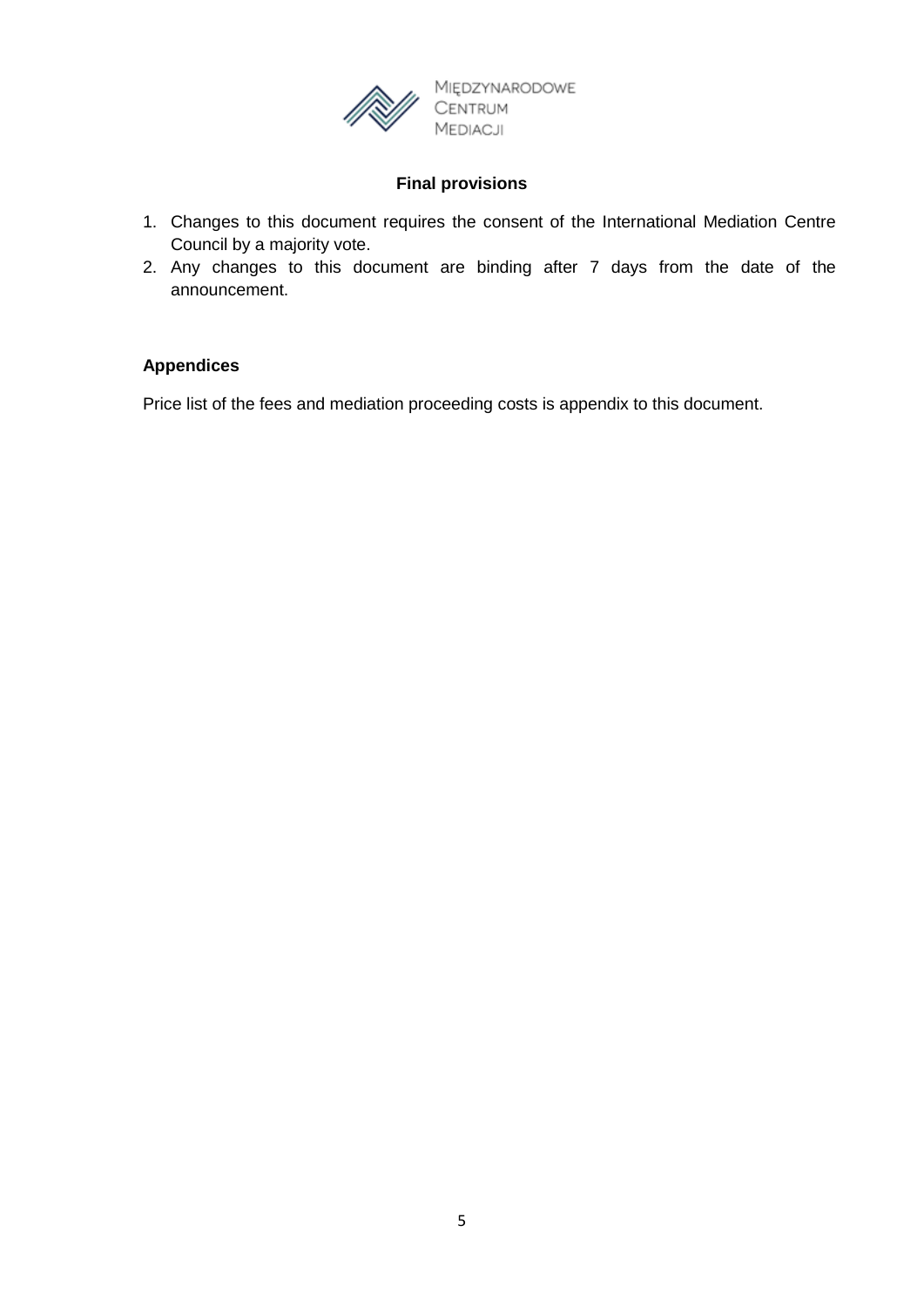

# **Final provisions**

- 1. Changes to this document requires the consent of the International Mediation Centre Council by a majority vote.
- 2. Any changes to this document are binding after 7 days from the date of the announcement.

## **Appendices**

Price list of the fees and mediation proceeding costs is appendix to this document.